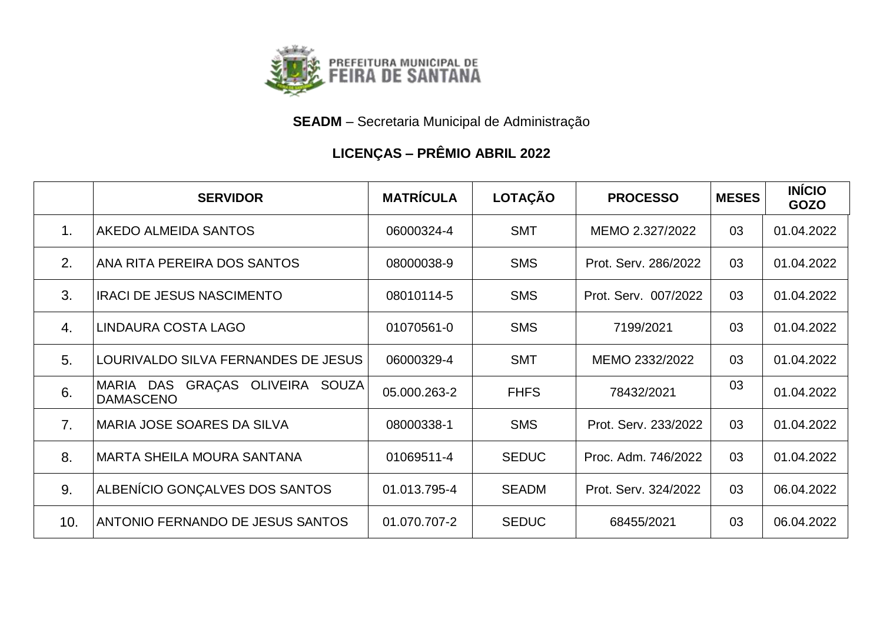

**SEADM** – Secretaria Municipal de Administração

## **LICENÇAS – PRÊMIO ABRIL 2022**

|                | <b>SERVIDOR</b>                                     | <b>MATRÍCULA</b> | LOTAÇÃO      | <b>PROCESSO</b>      | <b>MESES</b> | <b>INÍCIO</b><br><b>GOZO</b> |
|----------------|-----------------------------------------------------|------------------|--------------|----------------------|--------------|------------------------------|
| 1 <sub>1</sub> | AKEDO ALMEIDA SANTOS                                | 06000324-4       | <b>SMT</b>   | MEMO 2.327/2022      | 03           | 01.04.2022                   |
| 2.             | ANA RITA PEREIRA DOS SANTOS                         | 08000038-9       | <b>SMS</b>   | Prot. Serv. 286/2022 | 03           | 01.04.2022                   |
| 3.             | <b>IRACI DE JESUS NASCIMENTO</b>                    | 08010114-5       | <b>SMS</b>   | Prot. Serv. 007/2022 | 03           | 01.04.2022                   |
| $\mathbf{4}$ . | LINDAURA COSTA LAGO                                 | 01070561-0       | <b>SMS</b>   | 7199/2021            | 03           | 01.04.2022                   |
| 5 <sub>1</sub> | LOURIVALDO SILVA FERNANDES DE JESUS                 | 06000329-4       | <b>SMT</b>   | MEMO 2332/2022       | 03           | 01.04.2022                   |
| 6.             | MARIA DAS GRAÇAS OLIVEIRA SOUZA<br><b>DAMASCENO</b> | 05.000.263-2     | <b>FHFS</b>  | 78432/2021           | 03           | 01.04.2022                   |
| 7 <sub>1</sub> | MARIA JOSE SOARES DA SILVA                          | 08000338-1       | <b>SMS</b>   | Prot. Serv. 233/2022 | 03           | 01.04.2022                   |
| 8.             | <b>MARTA SHEILA MOURA SANTANA</b>                   | 01069511-4       | <b>SEDUC</b> | Proc. Adm. 746/2022  | 03           | 01.04.2022                   |
| 9.             | ALBENÍCIO GONÇALVES DOS SANTOS                      | 01.013.795-4     | <b>SEADM</b> | Prot. Serv. 324/2022 | 03           | 06.04.2022                   |
| 10.            | ANTONIO FERNANDO DE JESUS SANTOS                    | 01.070.707-2     | <b>SEDUC</b> | 68455/2021           | 03           | 06.04.2022                   |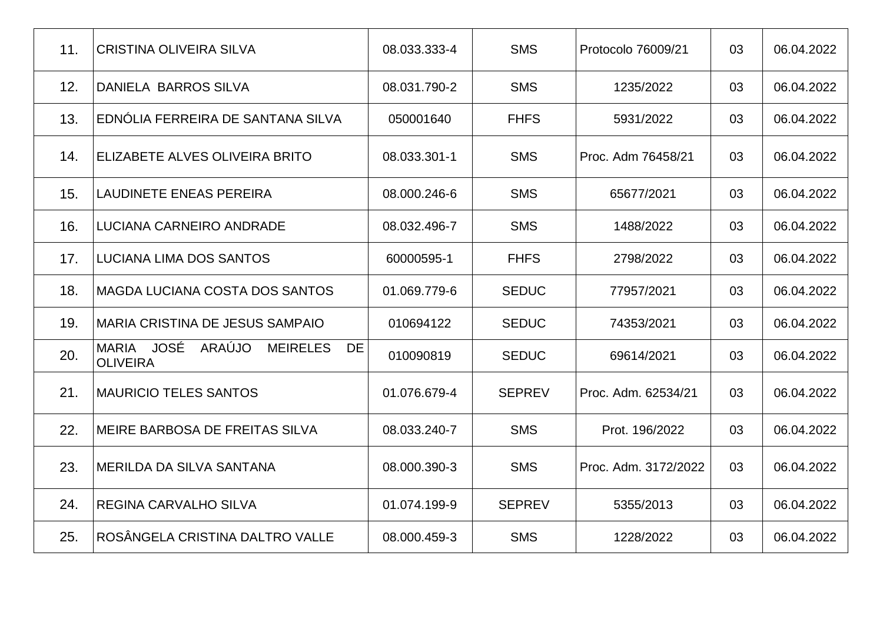| 11. | <b>CRISTINA OLIVEIRA SILVA</b>                                   | 08.033.333-4 | <b>SMS</b>    | Protocolo 76009/21   | 03 | 06.04.2022 |
|-----|------------------------------------------------------------------|--------------|---------------|----------------------|----|------------|
| 12. | <b>DANIELA BARROS SILVA</b>                                      | 08.031.790-2 | <b>SMS</b>    | 1235/2022            | 03 | 06.04.2022 |
| 13. | EDNÓLIA FERREIRA DE SANTANA SILVA                                | 050001640    | <b>FHFS</b>   | 5931/2022            | 03 | 06.04.2022 |
| 14. | ELIZABETE ALVES OLIVEIRA BRITO                                   | 08.033.301-1 | <b>SMS</b>    | Proc. Adm 76458/21   | 03 | 06.04.2022 |
| 15. | <b>LAUDINETE ENEAS PEREIRA</b>                                   | 08.000.246-6 | <b>SMS</b>    | 65677/2021           | 03 | 06.04.2022 |
| 16. | LUCIANA CARNEIRO ANDRADE                                         | 08.032.496-7 | <b>SMS</b>    | 1488/2022            | 03 | 06.04.2022 |
| 17. | LUCIANA LIMA DOS SANTOS                                          | 60000595-1   | <b>FHFS</b>   | 2798/2022            | 03 | 06.04.2022 |
| 18. | MAGDA LUCIANA COSTA DOS SANTOS                                   | 01.069.779-6 | <b>SEDUC</b>  | 77957/2021           | 03 | 06.04.2022 |
| 19. | MARIA CRISTINA DE JESUS SAMPAIO                                  | 010694122    | <b>SEDUC</b>  | 74353/2021           | 03 | 06.04.2022 |
| 20. | MARIA JOSÉ<br>ARAÚJO<br><b>MEIRELES</b><br>DE<br><b>OLIVEIRA</b> | 010090819    | <b>SEDUC</b>  | 69614/2021           | 03 | 06.04.2022 |
| 21. | <b>MAURICIO TELES SANTOS</b>                                     | 01.076.679-4 | <b>SEPREV</b> | Proc. Adm. 62534/21  | 03 | 06.04.2022 |
| 22. | MEIRE BARBOSA DE FREITAS SILVA                                   | 08.033.240-7 | <b>SMS</b>    | Prot. 196/2022       | 03 | 06.04.2022 |
| 23. | MERILDA DA SILVA SANTANA                                         | 08.000.390-3 | <b>SMS</b>    | Proc. Adm. 3172/2022 | 03 | 06.04.2022 |
| 24. | <b>REGINA CARVALHO SILVA</b>                                     | 01.074.199-9 | <b>SEPREV</b> | 5355/2013            | 03 | 06.04.2022 |
| 25. | ROSÂNGELA CRISTINA DALTRO VALLE                                  | 08.000.459-3 | <b>SMS</b>    | 1228/2022            | 03 | 06.04.2022 |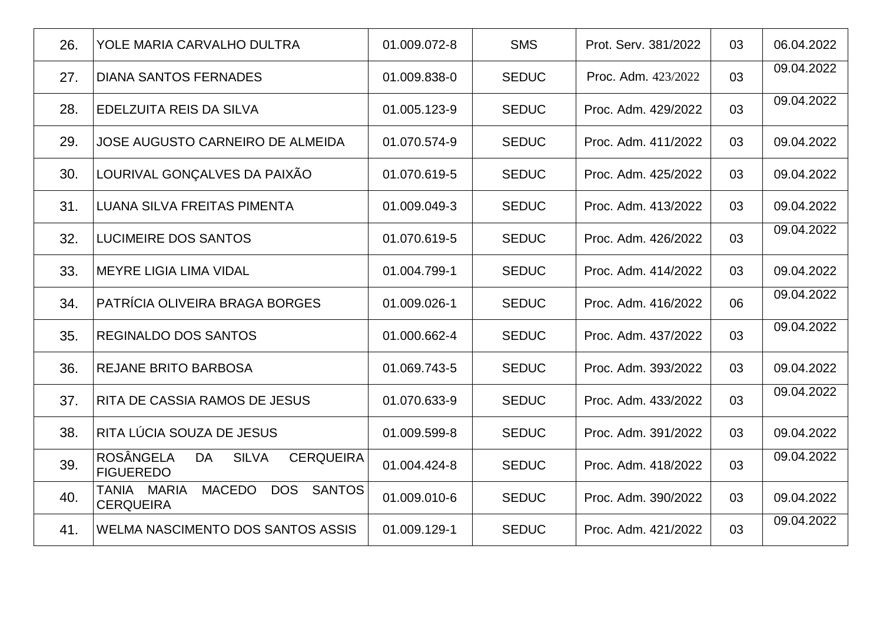| 26. | YOLE MARIA CARVALHO DULTRA                                                     | 01.009.072-8 | <b>SMS</b>   | Prot. Serv. 381/2022 | 03 | 06.04.2022 |
|-----|--------------------------------------------------------------------------------|--------------|--------------|----------------------|----|------------|
| 27. | <b>DIANA SANTOS FERNADES</b>                                                   | 01.009.838-0 | <b>SEDUC</b> | Proc. Adm. 423/2022  | 03 | 09.04.2022 |
| 28. | EDELZUITA REIS DA SILVA                                                        | 01.005.123-9 | <b>SEDUC</b> | Proc. Adm. 429/2022  | 03 | 09.04.2022 |
| 29. | <b>JOSE AUGUSTO CARNEIRO DE ALMEIDA</b>                                        | 01.070.574-9 | <b>SEDUC</b> | Proc. Adm. 411/2022  | 03 | 09.04.2022 |
| 30. | LOURIVAL GONÇALVES DA PAIXÃO                                                   | 01.070.619-5 | <b>SEDUC</b> | Proc. Adm. 425/2022  | 03 | 09.04.2022 |
| 31. | LUANA SILVA FREITAS PIMENTA                                                    | 01.009.049-3 | <b>SEDUC</b> | Proc. Adm. 413/2022  | 03 | 09.04.2022 |
| 32. | <b>LUCIMEIRE DOS SANTOS</b>                                                    | 01.070.619-5 | <b>SEDUC</b> | Proc. Adm. 426/2022  | 03 | 09.04.2022 |
| 33. | <b>MEYRE LIGIA LIMA VIDAL</b>                                                  | 01.004.799-1 | <b>SEDUC</b> | Proc. Adm. 414/2022  | 03 | 09.04.2022 |
| 34. | PATRÍCIA OLIVEIRA BRAGA BORGES                                                 | 01.009.026-1 | <b>SEDUC</b> | Proc. Adm. 416/2022  | 06 | 09.04.2022 |
| 35. | <b>REGINALDO DOS SANTOS</b>                                                    | 01.000.662-4 | <b>SEDUC</b> | Proc. Adm. 437/2022  | 03 | 09.04.2022 |
| 36. | <b>REJANE BRITO BARBOSA</b>                                                    | 01.069.743-5 | <b>SEDUC</b> | Proc. Adm. 393/2022  | 03 | 09.04.2022 |
| 37. | <b>RITA DE CASSIA RAMOS DE JESUS</b>                                           | 01.070.633-9 | <b>SEDUC</b> | Proc. Adm. 433/2022  | 03 | 09.04.2022 |
| 38. | RITA LÚCIA SOUZA DE JESUS                                                      | 01.009.599-8 | <b>SEDUC</b> | Proc. Adm. 391/2022  | 03 | 09.04.2022 |
| 39. | <b>ROSÂNGELA</b><br><b>SILVA</b><br>DA<br><b>CERQUEIRA</b><br><b>FIGUEREDO</b> | 01.004.424-8 | <b>SEDUC</b> | Proc. Adm. 418/2022  | 03 | 09.04.2022 |
| 40. | <b>MACEDO</b><br>MARIA<br><b>DOS</b><br>SANTOS<br>TANIA<br><b>CERQUEIRA</b>    | 01.009.010-6 | <b>SEDUC</b> | Proc. Adm. 390/2022  | 03 | 09.04.2022 |
| 41. | <b>WELMA NASCIMENTO DOS SANTOS ASSIS</b>                                       | 01.009.129-1 | <b>SEDUC</b> | Proc. Adm. 421/2022  | 03 | 09.04.2022 |